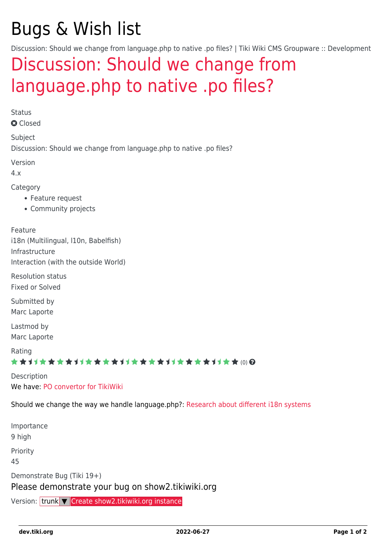# Bugs & Wish list

Discussion: Should we change from language.php to native .po files? | Tiki Wiki CMS Groupware :: Development

## [Discussion: Should we change from](https://dev.tiki.org/item2735-Discussion-Should-we-change-from-language-php-to-native-po-files) [language.php to native .po files?](https://dev.tiki.org/item2735-Discussion-Should-we-change-from-language-php-to-native-po-files)

Status

**a** Closed

Subject Discussion: Should we change from language.php to native .po files?

Version

4.x

Category

- Feature request
- Community projects

Feature

i18n (Multilingual, l10n, Babelfish) Infrastructure Interaction (with the outside World)

Resolution status Fixed or Solved

Submitted by Marc Laporte

Lastmod by Marc Laporte

Rating

#### ★★11★★★★11★★★★11★★★★11★★★★+11★★ (0) @

Description We have: [PO convertor for TikiWiki](http://tiki.org/PO%20convertor%20for%20TikiWiki)

Should we change the way we handle language.php?: [Research about different i18n systems](https://dev.tiki.org/Research-about-different-i18n-systems)

Importance 9 high Priority 45 Demonstrate Bug (Tiki 19+) Please demonstrate your bug on show2.tikiwiki.org

Version: trunk ▼ [Create show2.tikiwiki.org instance](#page--1-0)